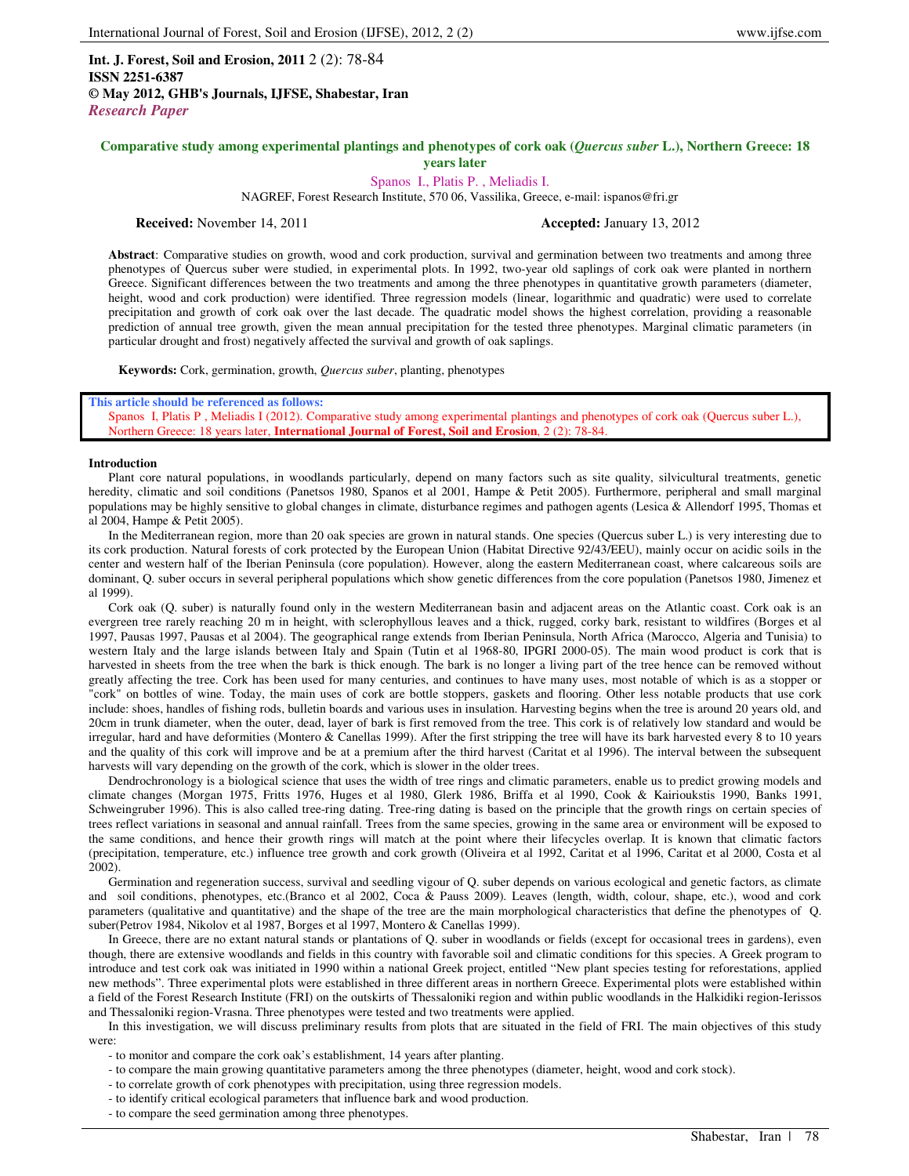**Int. J. Forest, Soil and Erosion, 2011** 2 (2): 78-84 **ISSN 2251-6387 © May 2012, GHB's Journals, IJFSE, Shabestar, Iran** *Research Paper*

## **Comparative study among experimental plantings and phenotypes of cork oak (***Quercus suber* **L.), Northern Greece: 18 years later**

# Spanos I., Platis P. , Meliadis I.

NAGREF, Forest Research Institute, 570 06, Vassilika, Greece, e-mail: ispanos@fri.gr

**Received:** November 14, 2011 **Accepted:** January 13, 2012

**Abstract**: Comparative studies on growth, wood and cork production, survival and germination between two treatments and among three phenotypes of Quercus suber were studied, in experimental plots. In 1992, two-year old saplings of cork oak were planted in northern Greece. Significant differences between the two treatments and among the three phenotypes in quantitative growth parameters (diameter, height, wood and cork production) were identified. Three regression models (linear, logarithmic and quadratic) were used to correlate precipitation and growth of cork oak over the last decade. The quadratic model shows the highest correlation, providing a reasonable prediction of annual tree growth, given the mean annual precipitation for the tested three phenotypes. Marginal climatic parameters (in particular drought and frost) negatively affected the survival and growth of oak saplings.

**Keywords:** Cork, germination, growth, *Quercus suber*, planting, phenotypes

#### **This article should be referenced as follows:**

Spanos I, Platis P , Meliadis I (2012). Comparative study among experimental plantings and phenotypes of cork oak (Quercus suber L.), Northern Greece: 18 years later, **International Journal of Forest, Soil and Erosion**, 2 (2): 78-84.

## **Introduction**

Plant core natural populations, in woodlands particularly, depend on many factors such as site quality, silvicultural treatments, genetic heredity, climatic and soil conditions (Panetsos 1980, Spanos et al 2001, Hampe & Petit 2005). Furthermore, peripheral and small marginal populations may be highly sensitive to global changes in climate, disturbance regimes and pathogen agents (Lesica & Allendorf 1995, Thomas et al 2004, Hampe & Petit 2005).

In the Mediterranean region, more than 20 oak species are grown in natural stands. One species (Quercus suber L.) is very interesting due to its cork production. Natural forests of cork protected by the European Union (Habitat Directive 92/43/EEU), mainly occur on acidic soils in the center and western half of the Iberian Peninsula (core population). However, along the eastern Mediterranean coast, where calcareous soils are dominant, Q. suber occurs in several peripheral populations which show genetic differences from the core population (Panetsos 1980, Jimenez et al 1999).

Cork oak (Q. suber) is naturally found only in the western Mediterranean basin and adjacent areas on the Atlantic coast. Cork oak is an evergreen tree rarely reaching 20 m in height, with sclerophyllous leaves and a thick, rugged, corky bark, resistant to wildfires (Borges et al 1997, Pausas 1997, Pausas et al 2004). The geographical range extends from Iberian Peninsula, North Africa (Marocco, Algeria and Tunisia) to western Italy and the large islands between Italy and Spain (Tutin et al 1968-80, IPGRI 2000-05). The main wood product is cork that is harvested in sheets from the tree when the bark is thick enough. The bark is no longer a living part of the tree hence can be removed without greatly affecting the tree. Cork has been used for many centuries, and continues to have many uses, most notable of which is as a stopper or "cork" on bottles of wine. Today, the main uses of cork are bottle stoppers, gaskets and flooring. Other less notable products that use cork include: shoes, handles of fishing rods, bulletin boards and various uses in insulation. Harvesting begins when the tree is around 20 years old, and 20cm in trunk diameter, when the outer, dead, layer of bark is first removed from the tree. This cork is of relatively low standard and would be irregular, hard and have deformities (Montero & Canellas 1999). After the first stripping the tree will have its bark harvested every 8 to 10 years and the quality of this cork will improve and be at a premium after the third harvest (Caritat et al 1996). The interval between the subsequent harvests will vary depending on the growth of the cork, which is slower in the older trees.

Dendrochronology is a biological science that uses the width of tree rings and climatic parameters, enable us to predict growing models and climate changes (Morgan 1975, Fritts 1976, Huges et al 1980, Glerk 1986, Briffa et al 1990, Cook & Kairioukstis 1990, Banks 1991, Schweingruber 1996). This is also called tree-ring dating. Tree-ring dating is based on the principle that the growth rings on certain species of trees reflect variations in seasonal and annual rainfall. Trees from the same species, growing in the same area or environment will be exposed to the same conditions, and hence their growth rings will match at the point where their lifecycles overlap. It is known that climatic factors (precipitation, temperature, etc.) influence tree growth and cork growth (Oliveira et al 1992, Caritat et al 1996, Caritat et al 2000, Costa et al 2002).

Germination and regeneration success, survival and seedling vigour of Q. suber depends on various ecological and genetic factors, as climate and soil conditions, phenotypes, etc.(Branco et al 2002, Coca & Pauss 2009). Leaves (length, width, colour, shape, etc.), wood and cork parameters (qualitative and quantitative) and the shape of the tree are the main morphological characteristics that define the phenotypes of Q. suber(Petrov 1984, Nikolov et al 1987, Borges et al 1997, Montero & Canellas 1999).

In Greece, there are no extant natural stands or plantations of Q. suber in woodlands or fields (except for occasional trees in gardens), even though, there are extensive woodlands and fields in this country with favorable soil and climatic conditions for this species. A Greek program to introduce and test cork oak was initiated in 1990 within a national Greek project, entitled "New plant species testing for reforestations, applied new methods". Three experimental plots were established in three different areas in northern Greece. Experimental plots were established within a field of the Forest Research Institute (FRI) on the outskirts of Thessaloniki region and within public woodlands in the Halkidiki region-Ierissos and Thessaloniki region-Vrasna. Three phenotypes were tested and two treatments were applied.

In this investigation, we will discuss preliminary results from plots that are situated in the field of FRI. The main objectives of this study were:

- to monitor and compare the cork oak's establishment, 14 years after planting.
- to compare the main growing quantitative parameters among the three phenotypes (diameter, height, wood and cork stock).
- to correlate growth of cork phenotypes with precipitation, using three regression models.
- to identify critical ecological parameters that influence bark and wood production.
- to compare the seed germination among three phenotypes.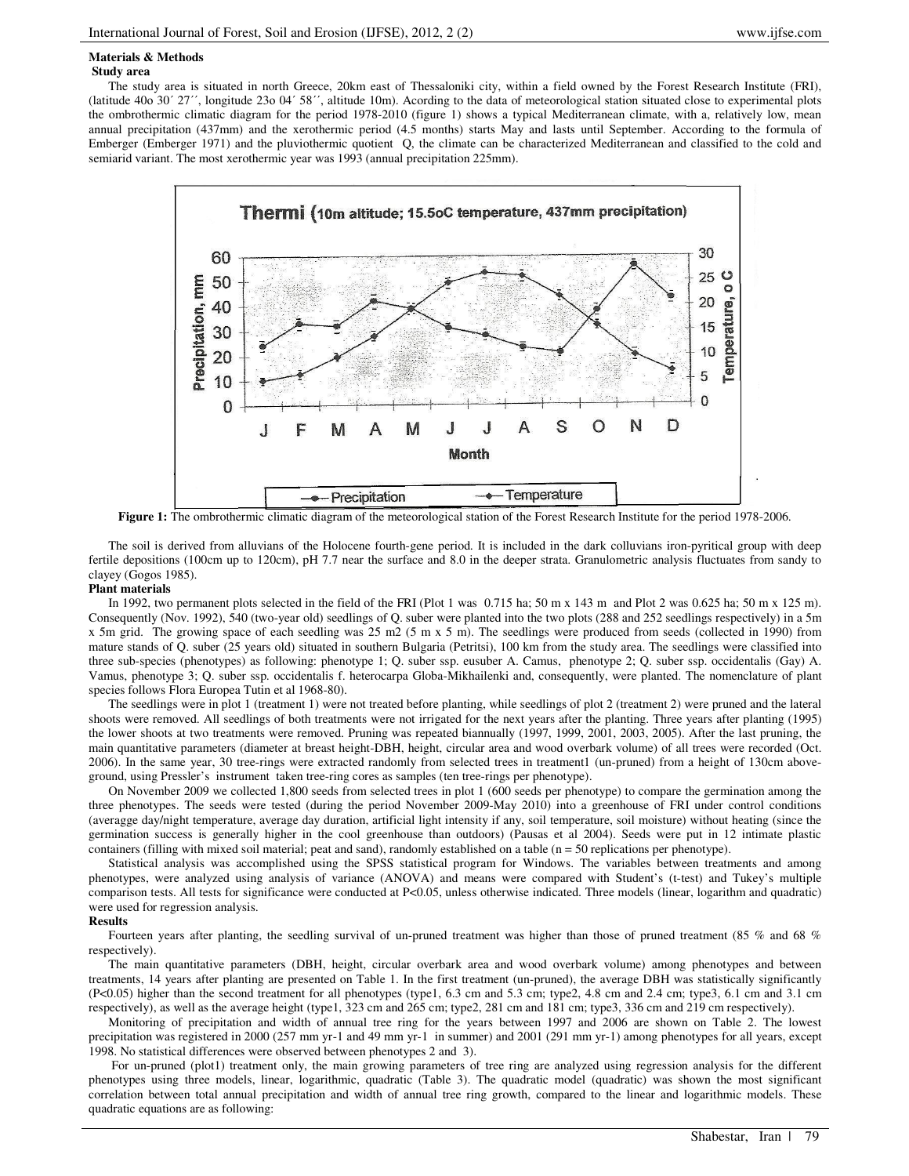## **Materials & Methods**

#### **Study area**

The study area is situated in north Greece, 20km east of Thessaloniki city, within a field owned by the Forest Research Institute (FRI), (latitude 40ο 30΄ 27΄΄, longitude 23ο 04΄ 58΄΄, altitude 10m). Acording to the data of meteorological station situated close to experimental plots the ombrothermic climatic diagram for the period 1978-2010 (figure 1) shows a typical Mediterranean climate, with a, relatively low, mean annual precipitation (437mm) and the xerothermic period (4.5 months) starts May and lasts until September. According to the formula of Emberger (Emberger 1971) and the pluviothermic quotient Q, the climate can be characterized Mediterranean and classified to the cold and semiarid variant. The most xerothermic year was 1993 (annual precipitation 225mm).



**Figure 1:** The ombrothermic climatic diagram of the meteorological station of the Forest Research Institute for the period 1978-2006.

The soil is derived from alluvians of the Holocene fourth-gene period. It is included in the dark colluvians iron-pyritical group with deep fertile depositions (100cm up to 120cm), pH 7.7 near the surface and 8.0 in the deeper strata. Granulometric analysis fluctuates from sandy to clayey (Gogos 1985).

#### **Plant materials**

In 1992, two permanent plots selected in the field of the FRI (Plot 1 was 0.715 ha; 50 m x 143 m and Plot 2 was 0.625 ha; 50 m x 125 m). Consequently (Nov. 1992), 540 (two-year old) seedlings of Q. suber were planted into the two plots (288 and 252 seedlings respectively) in a 5m x 5m grid. The growing space of each seedling was 25 m2 (5 m x 5 m). The seedlings were produced from seeds (collected in 1990) from mature stands of Q. suber (25 years old) situated in southern Bulgaria (Petritsi), 100 km from the study area. The seedlings were classified into three sub-species (phenotypes) as following: phenotype 1; Q. suber ssp. eusuber A. Camus, phenotype 2; Q. suber ssp. occidentalis (Gay) A. Vamus, phenotype 3; Q. suber ssp. occidentalis f. heterocarpa Globa-Mikhailenki and, consequently, were planted. The nomenclature of plant species follows Flora Europea Tutin et al 1968-80).

The seedlings were in plot 1 (treatment 1) were not treated before planting, while seedlings of plot 2 (treatment 2) were pruned and the lateral shoots were removed. All seedlings of both treatments were not irrigated for the next years after the planting. Three years after planting (1995) the lower shoots at two treatments were removed. Pruning was repeated biannually (1997, 1999, 2001, 2003, 2005). After the last pruning, the main quantitative parameters (diameter at breast height-DBH, height, circular area and wood overbark volume) of all trees were recorded (Oct. 2006). In the same year, 30 tree-rings were extracted randomly from selected trees in treatment1 (un-pruned) from a height of 130cm aboveground, using Pressler's instrument taken tree-ring cores as samples (ten tree-rings per phenotype).

On November 2009 we collected 1,800 seeds from selected trees in plot 1 (600 seeds per phenotype) to compare the germination among the three phenotypes. The seeds were tested (during the period November 2009-May 2010) into a greenhouse of FRI under control conditions (averagge day/night temperature, average day duration, artificial light intensity if any, soil temperature, soil moisture) without heating (since the germination success is generally higher in the cool greenhouse than outdoors) (Pausas et al 2004). Seeds were put in 12 intimate plastic containers (filling with mixed soil material; peat and sand), randomly established on a table (n = 50 replications per phenotype).

Statistical analysis was accomplished using the SPSS statistical program for Windows. The variables between treatments and among phenotypes, were analyzed using analysis of variance (ANOVA) and means were compared with Student's (t-test) and Tukey's multiple comparison tests. All tests for significance were conducted at P<0.05, unless otherwise indicated. Three models (linear, logarithm and quadratic) were used for regression analysis.

## **Results**

Fourteen years after planting, the seedling survival of un-pruned treatment was higher than those of pruned treatment (85 % and 68 % respectively).

The main quantitative parameters (DBH, height, circular overbark area and wood overbark volume) among phenotypes and between treatments, 14 years after planting are presented on Table 1. In the first treatment (un-pruned), the average DBH was statistically significantly (P<0.05) higher than the second treatment for all phenotypes (type1, 6.3 cm and 5.3 cm; type2, 4.8 cm and 2.4 cm; type3, 6.1 cm and 3.1 cm respectively), as well as the average height (type1, 323 cm and 265 cm; type2, 281 cm and 181 cm; type3, 336 cm and 219 cm respectively).

Monitoring of precipitation and width of annual tree ring for the years between 1997 and 2006 are shown on Table 2. The lowest precipitation was registered in 2000 (257 mm yr-1 and 49 mm yr-1 in summer) and 2001 (291 mm yr-1) among phenotypes for all years, except 1998. No statistical differences were observed between phenotypes 2 and 3).

 For un-pruned (plot1) treatment only, the main growing parameters of tree ring are analyzed using regression analysis for the different phenotypes using three models, linear, logarithmic, quadratic (Table 3). The quadratic model (quadratic) was shown the most significant correlation between total annual precipitation and width of annual tree ring growth, compared to the linear and logarithmic models. These quadratic equations are as following: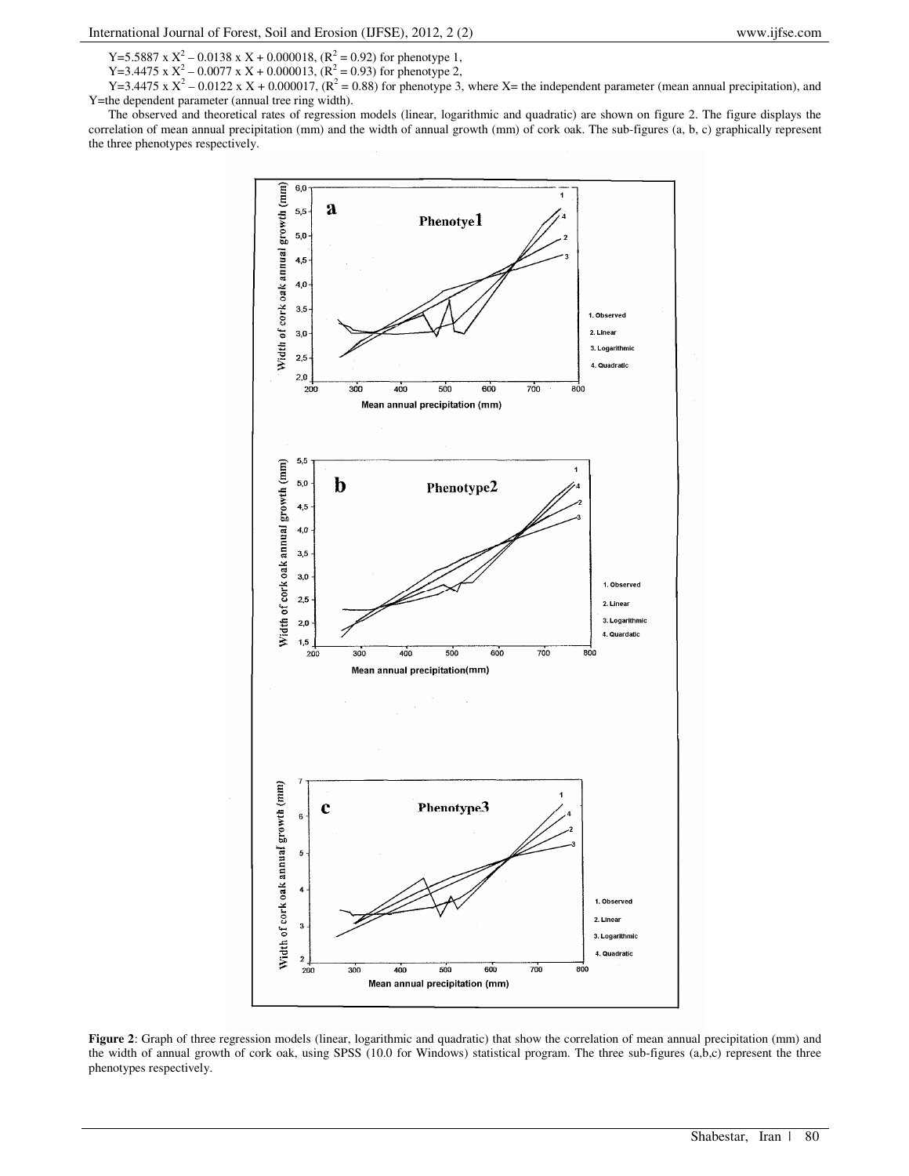Y=5.5887 x  $X^2$  – 0.0138 x X + 0.000018, ( $R^2$  = 0.92) for phenotype 1,

Y=3.4475 x  $X^2$  – 0.0077 x X + 0.000013, ( $R^2$  = 0.93) for phenotype 2,

Y=3.4475 x  $X^2$  – 0.0122 x X + 0.000017, ( $R^2$  = 0.88) for phenotype 3, where X= the independent parameter (mean annual precipitation), and Y=the dependent parameter (annual tree ring width).

The observed and theoretical rates of regression models (linear, logarithmic and quadratic) are shown on figure 2. The figure displays the correlation of mean annual precipitation (mm) and the width of annual growth (mm) of cork oak. The sub-figures (a, b, c) graphically represent the three phenotypes respectively.



**Figure 2**: Graph of three regression models (linear, logarithmic and quadratic) that show the correlation of mean annual precipitation (mm) and the width of annual growth of cork oak, using SPSS (10.0 for Windows) statistical program. The three sub-figures (a,b,c) represent the three phenotypes respectively.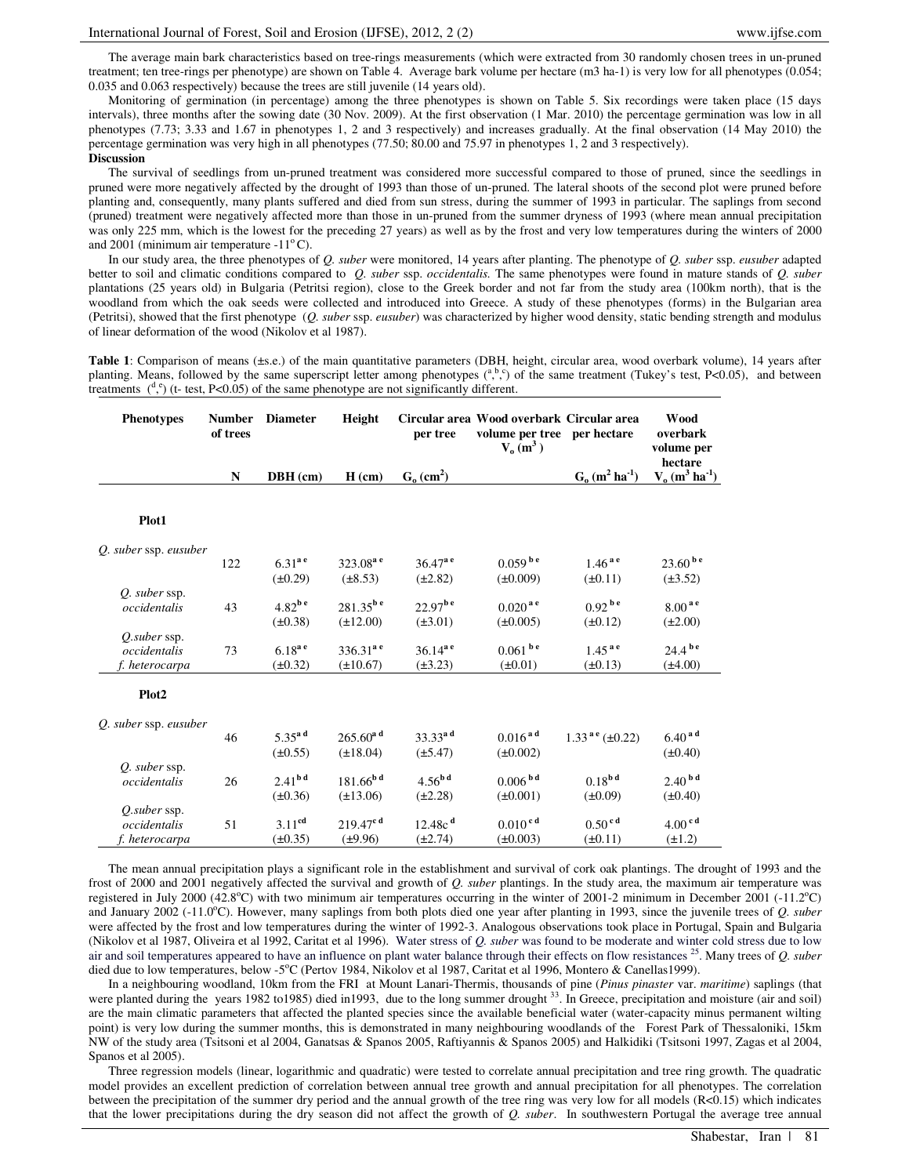The average main bark characteristics based on tree-rings measurements (which were extracted from 30 randomly chosen trees in un-pruned treatment; ten tree-rings per phenotype) are shown on Table 4. Average bark volume per hectare (m3 ha-1) is very low for all phenotypes (0.054; 0.035 and 0.063 respectively) because the trees are still juvenile (14 years old).

Monitoring of germination (in percentage) among the three phenotypes is shown on Table 5. Six recordings were taken place (15 days intervals), three months after the sowing date (30 Nov. 2009). At the first observation (1 Mar. 2010) the percentage germination was low in all phenotypes (7.73; 3.33 and 1.67 in phenotypes 1, 2 and 3 respectively) and increases gradually. At the final observation (14 May 2010) the percentage germination was very high in all phenotypes (77.50; 80.00 and 75.97 in phenotypes 1, 2 and 3 respectively). **Discussion** 

The survival of seedlings from un-pruned treatment was considered more successful compared to those of pruned, since the seedlings in pruned were more negatively affected by the drought of 1993 than those of un-pruned. The lateral shoots of the second plot were pruned before planting and, consequently, many plants suffered and died from sun stress, during the summer of 1993 in particular. The saplings from second (pruned) treatment were negatively affected more than those in un-pruned from the summer dryness of 1993 (where mean annual precipitation was only 225 mm, which is the lowest for the preceding 27 years) as well as by the frost and very low temperatures during the winters of 2000 and 2001 (minimum air temperature  $-11^{\circ}$ C).

In our study area, the three phenotypes of *Q. suber* were monitored, 14 years after planting. The phenotype of *Q. suber* ssp. *eusuber* adapted better to soil and climatic conditions compared to *Q. suber* ssp. *occidentalis.* The same phenotypes were found in mature stands of *Q. suber* plantations (25 years old) in Bulgaria (Petritsi region), close to the Greek border and not far from the study area (100km north), that is the woodland from which the oak seeds were collected and introduced into Greece. A study of these phenotypes (forms) in the Bulgarian area (Petritsi), showed that the first phenotype (*Q. suber* ssp. *eusuber*) was characterized by higher wood density, static bending strength and modulus of linear deformation of the wood (Nikolov et al 1987).

Table 1: Comparison of means (±s.e.) of the main quantitative parameters (DBH, height, circular area, wood overbark volume), 14 years after planting. Means, followed by the same superscript letter among phenotypes  $\binom{a, b, c}{b}$  of the same treatment (Tukey's test, P<0.05), and between treatments  $\binom{d}{x}$  (t- test, P<0.05) of the same phenotype are not significantly different.

| <b>Phenotypes</b>     | <b>Number</b><br>of trees | <b>Diameter</b>      | Height                    | per tree                 | Circular area Wood overbark Circular area<br>volume per tree per hectare<br>$V_0(m^3)$ |                                          | Wood<br>overbark<br>volume per<br>hectare |
|-----------------------|---------------------------|----------------------|---------------------------|--------------------------|----------------------------------------------------------------------------------------|------------------------------------------|-------------------------------------------|
|                       | ${\bf N}$                 | DBH (cm)             | $H$ (cm)                  | $Go$ (cm <sup>2</sup> )  |                                                                                        | $G_0$ (m <sup>2</sup> ha <sup>-1</sup> ) | $V_0$ (m <sup>3</sup> ha <sup>-1</sup> )  |
| Plot1                 |                           |                      |                           |                          |                                                                                        |                                          |                                           |
| Q. suber ssp. eusuber |                           |                      |                           |                          |                                                                                        |                                          |                                           |
|                       | 122                       | $6.31^{a}$ e         | $323.08^{\rm a}$ e        | $36.47^{\mathrm{a}}$ e   | $0.059^{b e}$                                                                          | $1.46^{a}$                               | $23.60^{b}$ e                             |
|                       |                           | $(\pm 0.29)$         | $(\pm 8.53)$              | $(\pm 2.82)$             | $(\pm 0.009)$                                                                          | $(\pm 0.11)$                             | $(\pm 3.52)$                              |
| O. suber ssp.         |                           |                      |                           |                          |                                                                                        |                                          |                                           |
| occidentalis          | 43                        | $4.82^{b e}$         | $281.35^{b e}$            | $22.97^{b e}$            | $0.020$ <sup>ae</sup>                                                                  | $0.92^{b e}$                             | $8.00^{\,a\,e}$                           |
|                       |                           | $(\pm 0.38)$         | $(\pm 12.00)$             | $(\pm 3.01)$             | $(\pm 0.005)$                                                                          | $(\pm 0.12)$                             | $(\pm 2.00)$                              |
| O.suber ssp.          |                           |                      |                           |                          |                                                                                        |                                          |                                           |
| occidentalis          | 73                        | $6.18^{a e}$         | $336.31^{a}$ <sup>e</sup> | $36.14^{a}$ <sup>e</sup> | $0.061$ b e                                                                            | $1.45^{a}$                               | $24.4^{b e}$                              |
| f. heterocarpa        |                           | $(\pm 0.32)$         | $(\pm 10.67)$             | $(\pm 3.23)$             | $(\pm 0.01)$                                                                           | $(\pm 0.13)$                             | $(\pm 4.00)$                              |
| Plot <sub>2</sub>     |                           |                      |                           |                          |                                                                                        |                                          |                                           |
| Q. suber ssp. eusuber |                           |                      |                           |                          |                                                                                        |                                          |                                           |
|                       | 46                        | $5.35$ <sup>ad</sup> | $265.60^{\mathrm{a}}$ d   | $33.33^{a d}$            | $0.016^{a d}$                                                                          | $1.33^{a e} (\pm 0.22)$                  | $6.40^{a d}$                              |
|                       |                           | $(\pm 0.55)$         | $(\pm 18.04)$             | $(\pm 5.47)$             | $(\pm 0.002)$                                                                          |                                          | $(\pm 0.40)$                              |
| O. suber ssp.         |                           |                      |                           |                          |                                                                                        |                                          |                                           |
| occidentalis          | 26                        | 2.41 <sup>bd</sup>   | $181.66^{b d}$            | $4.56^{b d}$             | $0.006^{b d}$                                                                          | 0.18 <sup>b d</sup>                      | $2.40^{b d}$                              |
|                       |                           | $(\pm 0.36)$         | $(\pm 13.06)$             | $(\pm 2.28)$             | $(\pm 0.001)$                                                                          | $(\pm 0.09)$                             | $(\pm 0.40)$                              |
| O.suber ssp.          |                           |                      |                           |                          |                                                                                        |                                          |                                           |
| occidentalis          | 51                        | 3.11 <sup>cd</sup>   | $219.47^{\text{c d}}$     | $12.48c$ <sup>d</sup>    | $0.010$ <sup>cd</sup>                                                                  | $0.50$ <sup>cd</sup>                     | 4.00 <sup>cd</sup>                        |
| f. heterocarpa        |                           | $(\pm 0.35)$         | $(\pm 9.96)$              | $(\pm 2.74)$             | $(\pm 0.003)$                                                                          | $(\pm 0.11)$                             | $(\pm 1.2)$                               |

The mean annual precipitation plays a significant role in the establishment and survival of cork oak plantings. The drought of 1993 and the frost of 2000 and 2001 negatively affected the survival and growth of *Q. suber* plantings. In the study area, the maximum air temperature was registered in July 2000 (42.8°C) with two minimum air temperatures occurring in the winter of 2001-2 minimum in December 2001 (-11.2°C) and January 2002 (-11.0°C). However, many saplings from both plots died one year after planting in 1993, since the juvenile trees of *Q. suber* were affected by the frost and low temperatures during the winter of 1992-3. Analogous observations took place in Portugal, Spain and Bulgaria (Nikolov et al 1987, Oliveira et al 1992, Caritat et al 1996). Water stress of *Q. suber* was found to be moderate and winter cold stress due to low air and soil temperatures appeared to have an influence on plant water balance through their effects on flow resistances <sup>25</sup>. Many trees of *Q. suber* died due to low temperatures, below -5°C (Pertov 1984, Nikolov et al 1987, Caritat et al 1996, Montero & Canellas1999)

In a neighbouring woodland, 10km from the FRI at Mount Lanari-Thermis, thousands of pine (*Pinus pinaster* var. *maritime*) saplings (that were planted during the years 1982 to 1985) died in 1993, due to the long summer drought <sup>33</sup>. In Greece, precipitation and moisture (air and soil) are the main climatic parameters that affected the planted species since the available beneficial water (water-capacity minus permanent wilting point) is very low during the summer months, this is demonstrated in many neighbouring woodlands of the Forest Park of Thessaloniki, 15km NW of the study area (Tsitsoni et al 2004, Ganatsas & Spanos 2005, Raftiyannis & Spanos 2005) and Halkidiki (Tsitsoni 1997, Zagas et al 2004, Spanos et al 2005).

Three regression models (linear, logarithmic and quadratic) were tested to correlate annual precipitation and tree ring growth. The quadratic model provides an excellent prediction of correlation between annual tree growth and annual precipitation for all phenotypes. The correlation between the precipitation of the summer dry period and the annual growth of the tree ring was very low for all models (R<0.15) which indicates that the lower precipitations during the dry season did not affect the growth of *Q. suber*. In southwestern Portugal the average tree annual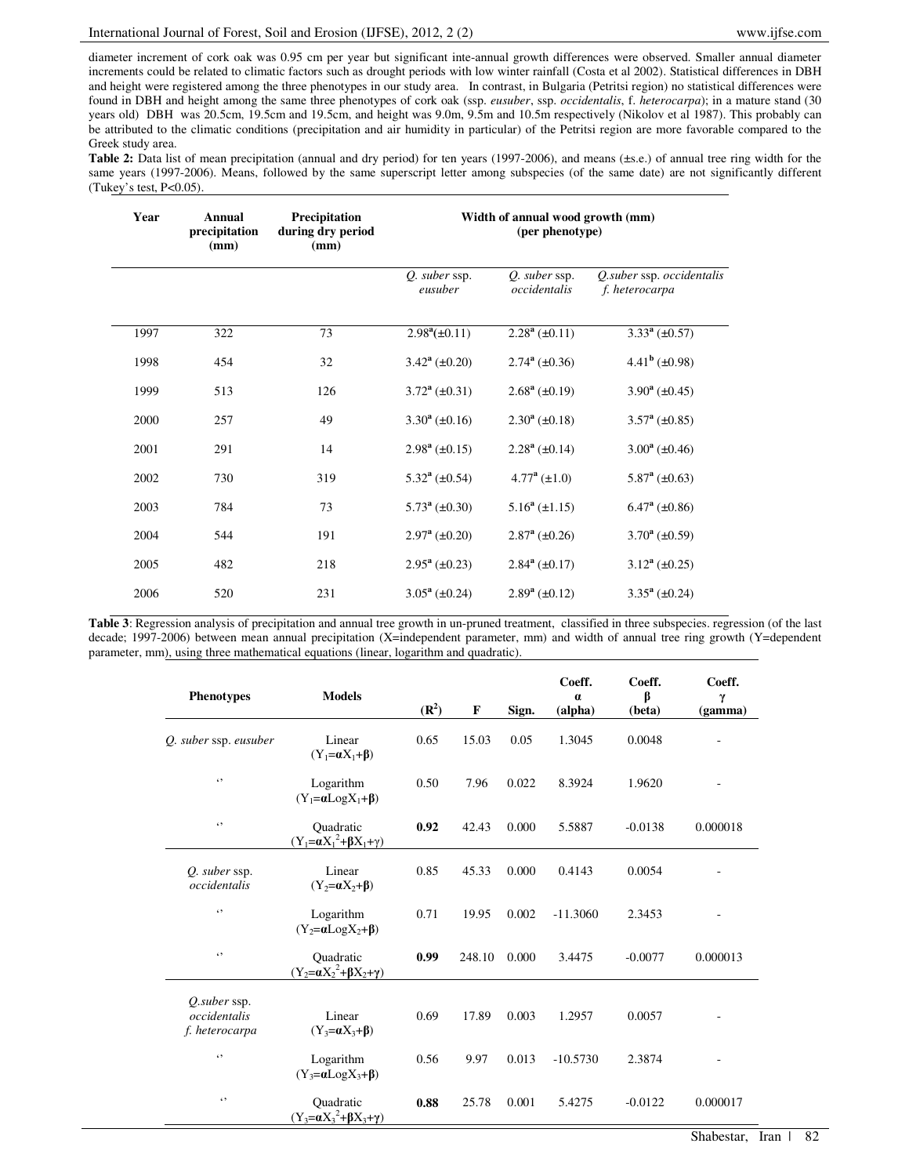diameter increment of cork oak was 0.95 cm per year but significant inte-annual growth differences were observed. Smaller annual diameter increments could be related to climatic factors such as drought periods with low winter rainfall (Costa et al 2002). Statistical differences in DBH and height were registered among the three phenotypes in our study area. In contrast, in Bulgaria (Petritsi region) no statistical differences were found in DBH and height among the same three phenotypes of cork oak (ssp. *eusuber*, ssp. *occidentalis*, f. *heterocarpa*); in a mature stand (30 years old) DBH was 20.5cm, 19.5cm and 19.5cm, and height was 9.0m, 9.5m and 10.5m respectively (Nikolov et al 1987). This probably can be attributed to the climatic conditions (precipitation and air humidity in particular) of the Petritsi region are more favorable compared to the Greek study area.

Table 2: Data list of mean precipitation (annual and dry period) for ten years (1997-2006), and means (±s.e.) of annual tree ring width for the same years (1997-2006). Means, followed by the same superscript letter among subspecies (of the same date) are not significantly different (Tukey's test, P<0.05).

| Year | Annual<br>precipitation<br>(mm) | Precipitation<br>during dry period<br>(mm) | Width of annual wood growth (mm)<br>(per phenotype) |                               |                                             |  |
|------|---------------------------------|--------------------------------------------|-----------------------------------------------------|-------------------------------|---------------------------------------------|--|
|      |                                 |                                            | <i>Q.</i> suber ssp.<br>eusuber                     | Q. suber ssp.<br>occidentalis | Q suber ssp. occidentalis<br>f. heterocarpa |  |
| 1997 | 322                             | 73                                         | $2.98^a(\pm 0.11)$                                  | $2.28^a (\pm 0.11)$           | $3.33^a (\pm 0.57)$                         |  |
| 1998 | 454                             | 32                                         | $3.42^{\rm a}$ (±0.20)                              | $2.74^a (\pm 0.36)$           | $4.41^b$ (±0.98)                            |  |
| 1999 | 513                             | 126                                        | $3.72^{\rm a}$ (±0.31)                              | $2.68^a$ (±0.19)              | $3.90^a (\pm 0.45)$                         |  |
| 2000 | 257                             | 49                                         | $3.30^a (\pm 0.16)$                                 | $2.30^a (\pm 0.18)$           | $3.57^{\rm a}$ (±0.85)                      |  |
| 2001 | 291                             | 14                                         | $2.98^a$ (±0.15)                                    | $2.28^a$ ( $\pm 0.14$ )       | $3.00^a$ (±0.46)                            |  |
| 2002 | 730                             | 319                                        | $5.32^{\mathrm{a}} (\pm 0.54)$                      | $4.77^{\rm a}$ (±1.0)         | $5.87^{\rm a}$ (±0.63)                      |  |
| 2003 | 784                             | 73                                         | $5.73^{\rm a}$ (±0.30)                              | $5.16^a (\pm 1.15)$           | $6.47^{\rm a}$ (±0.86)                      |  |
| 2004 | 544                             | 191                                        | $2.97^{\rm a}$ (±0.20)                              | $2.87^{\rm a}$ (±0.26)        | $3.70^a (\pm 0.59)$                         |  |
| 2005 | 482                             | 218                                        | $2.95^{\rm a}$ (±0.23)                              | $2.84^a$ ( $\pm 0.17$ )       | $3.12^a (\pm 0.25)$                         |  |
| 2006 | 520                             | 231                                        | $3.05^{\rm a}$ (±0.24)                              | $2.89^a (\pm 0.12)$           | $3.35^{\rm a}$ (±0.24)                      |  |

**Table 3**: Regression analysis of precipitation and annual tree growth in un-pruned treatment, classified in three subspecies. regression (of the last decade; 1997-2006) between mean annual precipitation (X=independent parameter, mm) and width of annual tree ring growth (Y=dependent parameter, mm), using three mathematical equations (linear, logarithm and quadratic).

| <b>Phenotypes</b>                              | <b>Models</b>                                            |                   |             |       | Coeff.<br>$\alpha$ | Coeff.<br>β | Coeff.<br>γ |
|------------------------------------------------|----------------------------------------------------------|-------------------|-------------|-------|--------------------|-------------|-------------|
|                                                |                                                          | (R <sup>2</sup> ) | $\mathbf F$ | Sign. | (alpha)            | (beta)      | (gamma)     |
| Q. suber ssp. eusuber                          | Linear<br>$(Y_1=aX_1+\beta)$                             | 0.65              | 15.03       | 0.05  | 1.3045             | 0.0048      |             |
| $\epsilon$ ,                                   | Logarithm<br>$(Y_1 = \alpha Log X_1 + \beta)$            | 0.50              | 7.96        | 0.022 | 8.3924             | 1.9620      |             |
| $\epsilon$ ,                                   | Ouadratic<br>$(Y_1 = \alpha X_1^2 + \beta X_1 + \gamma)$ | 0.92              | 42.43       | 0.000 | 5.5887             | $-0.0138$   | 0.000018    |
| Q. suber ssp.<br>occidentalis                  | Linear<br>$(Y_2=aX_2+\beta)$                             | 0.85              | 45.33       | 0.000 | 0.4143             | 0.0054      |             |
| $\epsilon$ ,                                   | Logarithm<br>$(Y_2=aLog X_2+\beta)$                      | 0.71              | 19.95       | 0.002 | $-11.3060$         | 2.3453      |             |
| 69                                             | Ouadratic<br>$(Y_2 = \alpha X_2^2 + \beta X_2 + \gamma)$ | 0.99              | 248.10      | 0.000 | 3.4475             | $-0.0077$   | 0.000013    |
| O.suber ssp.<br>occidentalis<br>f. heterocarpa | Linear<br>$(Y_3=aX_3+\beta)$                             | 0.69              | 17.89       | 0.003 | 1.2957             | 0.0057      |             |
| $\epsilon$                                     | Logarithm<br>$(Y_3 = \alpha Log X_3 + \beta)$            | 0.56              | 9.97        | 0.013 | $-10.5730$         | 2.3874      |             |
| $\epsilon$ ,                                   | Ouadratic<br>$(Y_3 = \alpha X_3^2 + \beta X_3 + \gamma)$ | 0.88              | 25.78       | 0.001 | 5.4275             | $-0.0122$   | 0.000017    |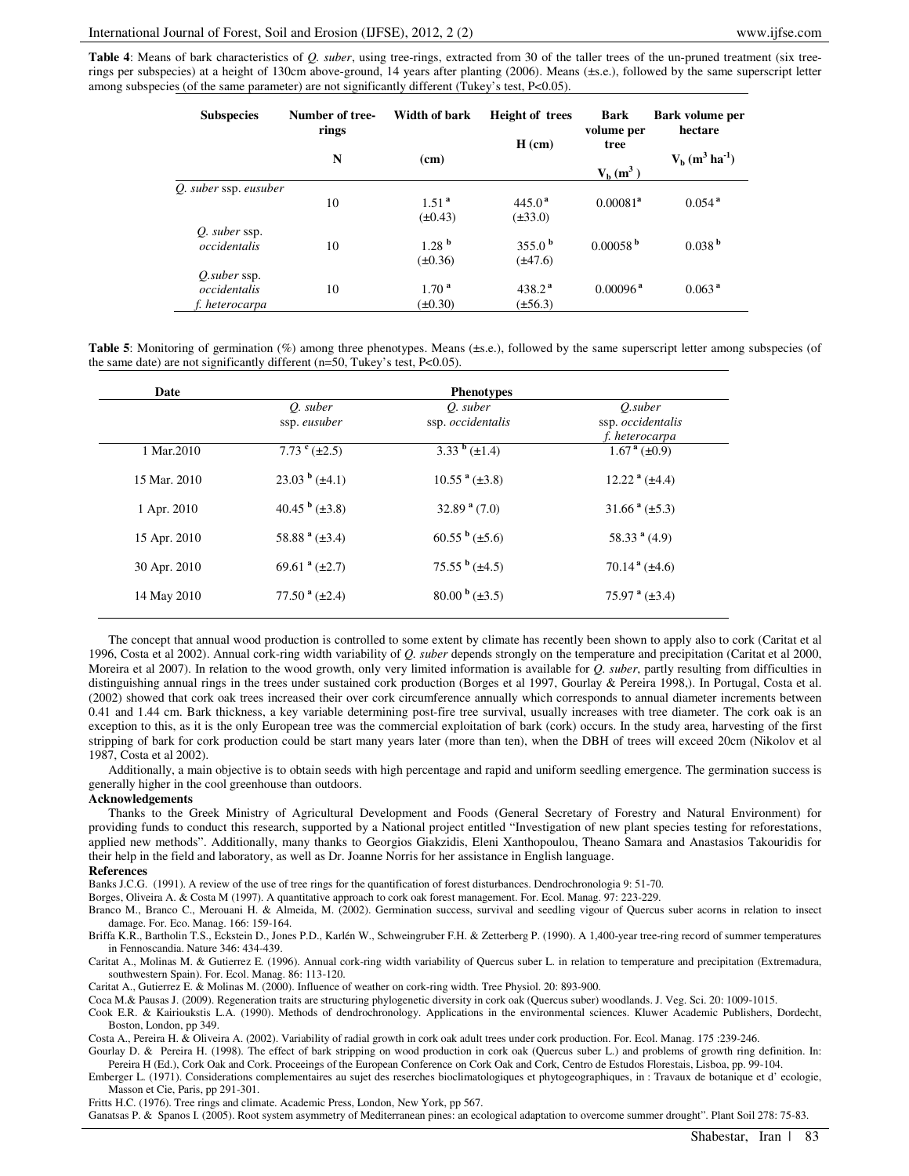**Table 4**: Means of bark characteristics of *Q. suber*, using tree-rings, extracted from 30 of the taller trees of the un-pruned treatment (six treerings per subspecies) at a height of 130cm above-ground, 14 years after planting (2006). Means (±s.e.), followed by the same superscript letter among subspecies (of the same parameter) are not significantly different (Tukey's test, P<0.05).

| <b>Subspecies</b>                                     | Number of tree-<br>rings | Width of bark                     | <b>Height of trees</b>             | <b>Bark</b><br>volume per<br>tree<br>$V_b(m^3)$ | Bark volume per<br>hectare                 |  |
|-------------------------------------------------------|--------------------------|-----------------------------------|------------------------------------|-------------------------------------------------|--------------------------------------------|--|
|                                                       | N                        | (cm)                              | $H$ (cm)                           |                                                 | $V_{b}$ (m <sup>3</sup> ha <sup>-1</sup> ) |  |
| Q. suber ssp. eusuber                                 | 10                       | 1.51 <sup>a</sup><br>$(\pm 0.43)$ | $445.0^{\text{a}}$<br>$(\pm 33.0)$ | $0.00081^a$                                     | $0.054$ <sup>a</sup>                       |  |
| Q. suber ssp.<br>occidentalis                         | 10                       | 1.28 <sup>b</sup><br>$(\pm 0.36)$ | 355.0 <sup>b</sup><br>$(\pm 47.6)$ | 0.00058 <sup>b</sup>                            | 0.038 <sup>b</sup>                         |  |
| <i>O.suber</i> ssp.<br>occidentalis<br>f. heterocarpa | 10                       | 1.70 <sup>a</sup><br>$(\pm 0.30)$ | $438.2^{\text{a}}$<br>$(\pm 56.3)$ | $0.00096$ <sup>a</sup>                          | 0.063 <sup>a</sup>                         |  |

**Table 5**: Monitoring of germination (%) among three phenotypes. Means ( $\pm$ s.e.), followed by the same superscript letter among subspecies (of the same date) are not significantly different (n=50, Tukey's test, P<0.05).

| Date         | <b>Phenotypes</b>              |                                   |                                                |  |  |  |
|--------------|--------------------------------|-----------------------------------|------------------------------------------------|--|--|--|
|              | O. suber<br>ssp. eusuber       | O. suber<br>ssp. occidentalis     | O.suber<br>ssp. occidentalis<br>f. heterocarpa |  |  |  |
| 1 Mar.2010   | 7.73 $^{\rm c}$ ( $\pm$ 2.5)   | 3.33 $\frac{b}{\pm}$ ( $\pm$ 1.4) | $1.67^{\text{a}} (\pm 0.9)$                    |  |  |  |
| 15 Mar. 2010 | $23.03^{\mathrm{b}} (\pm 4.1)$ | $10.55^{\text{a}} (\pm 3.8)$      | $12.22a$ ( $\pm 4.4$ )                         |  |  |  |
| 1 Apr. 2010  | 40.45 $\frac{b}{2}$ (±3.8)     | $32.89a$ (7.0)                    | $31.66^{\text{ a}} (\pm 5.3)$                  |  |  |  |
| 15 Apr. 2010 | 58.88 $a$ ( $\pm$ 3.4)         | $60.55^{\mathrm{b}} (\pm 5.6)$    | 58.33 <sup>a</sup> (4.9)                       |  |  |  |
| 30 Apr. 2010 | 69.61 $a(\pm 2.7)$             | $75.55^{\mathrm{b}} (\pm 4.5)$    | $70.14^{\text{a}} (\pm 4.6)$                   |  |  |  |
| 14 May 2010  | 77.50 $a (\pm 2.4)$            | $80.00^{b} (\pm 3.5)$             | 75.97 $a (\pm 3.4)$                            |  |  |  |

The concept that annual wood production is controlled to some extent by climate has recently been shown to apply also to cork (Caritat et al 1996, Costa et al 2002). Annual cork-ring width variability of *Q. suber* depends strongly on the temperature and precipitation (Caritat et al 2000, Moreira et al 2007). In relation to the wood growth, only very limited information is available for *Q. suber*, partly resulting from difficulties in distinguishing annual rings in the trees under sustained cork production (Borges et al 1997, Gourlay & Pereira 1998,). In Portugal, Costa et al. (2002) showed that cork oak trees increased their over cork circumference annually which corresponds to annual diameter increments between 0.41 and 1.44 cm. Bark thickness, a key variable determining post-fire tree survival, usually increases with tree diameter. The cork oak is an exception to this, as it is the only European tree was the commercial exploitation of bark (cork) occurs. In the study area, harvesting of the first stripping of bark for cork production could be start many years later (more than ten), when the DBH of trees will exceed 20cm (Nikolov et al 1987, Costa et al 2002).

Additionally, a main objective is to obtain seeds with high percentage and rapid and uniform seedling emergence. The germination success is generally higher in the cool greenhouse than outdoors.

#### **Acknowledgements**

Thanks to the Greek Ministry of Agricultural Development and Foods (General Secretary of Forestry and Natural Environment) for providing funds to conduct this research, supported by a National project entitled "Investigation of new plant species testing for reforestations, applied new methods". Additionally, many thanks to Georgios Giakzidis, Eleni Xanthopoulou, Theano Samara and Anastasios Takouridis for their help in the field and laboratory, as well as Dr. Joanne Norris for her assistance in English language.

#### **References**

Banks J.C.G. (1991). A review of the use of tree rings for the quantification of forest disturbances. Dendrochronologia 9: 51-70.

Borges, Oliveira A. & Costa M (1997). A quantitative approach to cork oak forest management. For. Ecol. Manag. 97: 223-229.

Branco M., Branco C., Merouani H. & Almeida, M. (2002). Germination success, survival and seedling vigour of Quercus suber acorns in relation to insect damage. For. Eco. Manag. 166: 159-164.

Briffa K.R., Bartholin T.S., Eckstein D., Jones P.D., Karlén W., Schweingruber F.H. & Zetterberg P. (1990). A 1,400-year tree-ring record of summer temperatures in Fennoscandia. Nature 346: 434-439.

Caritat A., Molinas M. & Gutierrez E. (1996). Annual cork-ring width variability of Quercus suber L. in relation to temperature and precipitation (Extremadura, southwestern Spain). For. Ecol. Manag. 86: 113-120.

Caritat A., Gutierrez E. & Molinas M. (2000). Influence of weather on cork-ring width. Tree Physiol. 20: 893-900.

Coca M.& Pausas J. (2009). Regeneration traits are structuring phylogenetic diversity in cork oak (Quercus suber) woodlands. J. Veg. Sci. 20: 1009-1015.

Cook E.R. & Kairioukstis L.A. (1990). Methods of dendrochronology. Applications in the environmental sciences. Kluwer Academic Publishers, Dordecht, Boston, London, pp 349.

Costa A., Pereira H. & Oliveira A. (2002). Variability of radial growth in cork oak adult trees under cork production. For. Ecol. Manag. 175 :239-246.

Gourlay D. & Pereira H. (1998). The effect of bark stripping on wood production in cork oak (Quercus suber L.) and problems of growth ring definition. In: Pereira H (Ed.), Cork Oak and Cork. Proceeings of the European Conference on Cork Oak and Cork, Centro de Estudos Florestais, Lisboa, pp. 99-104.

Emberger L. (1971). Considerations complementaires au sujet des reserches bioclimatologiques et phytogeographiques, in : Travaux de botanique et d' ecologie, Masson et Cie, Paris, pp 291-301.

Fritts H.C. (1976). Tree rings and climate. Academic Press, London, New York, pp 567.

Ganatsas P. & Spanos I. (2005). Root system asymmetry of Mediterranean pines: an ecological adaptation to overcome summer drought". Plant Soil 278: 75-83.